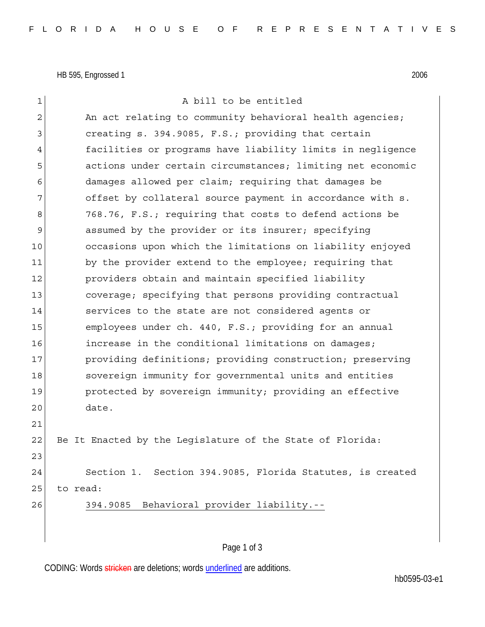HB 595, Engrossed 1 2006

1 a bill to be entitled  $2$  An act relating to community behavioral health agencies; 3 creating s. 394.9085, F.S.; providing that certain 4 facilities or programs have liability limits in negligence 5 actions under certain circumstances; limiting net economic 6 damages allowed per claim; requiring that damages be 7 offset by collateral source payment in accordance with s. 8 768.76, F.S.; requiring that costs to defend actions be 9 assumed by the provider or its insurer; specifying 10 occasions upon which the limitations on liability enjoyed 11 by the provider extend to the employee; requiring that 12 **providers obtain and maintain specified liability** 13 coverage; specifying that persons providing contractual 14 Services to the state are not considered agents or 15 employees under ch. 440, F.S.; providing for an annual 16 **increase in the conditional limitations on damages;** 17 providing definitions; providing construction; preserving 18 sovereign immunity for governmental units and entities 19 **protected by sovereign immunity;** providing an effective 20 date. 21 22 Be It Enacted by the Legislature of the State of Florida: 23 24 Section 1. Section 394.9085, Florida Statutes, is created 25 to read: 26 394.9085 Behavioral provider liability.--

## Page 1 of 3

CODING: Words stricken are deletions; words underlined are additions.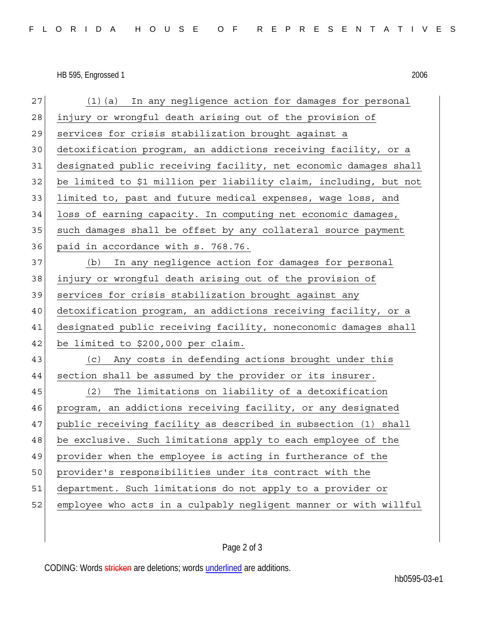HB 595, Engrossed 1 2006

| 27 | (1) (a) In any negligence action for damages for personal         |
|----|-------------------------------------------------------------------|
| 28 | injury or wrongful death arising out of the provision of          |
| 29 | services for crisis stabilization brought against a               |
| 30 | detoxification program, an addictions receiving facility, or a    |
| 31 | designated public receiving facility, net economic damages shall  |
| 32 | be limited to \$1 million per liability claim, including, but not |
| 33 | limited to, past and future medical expenses, wage loss, and      |
| 34 | loss of earning capacity. In computing net economic damages,      |
| 35 | such damages shall be offset by any collateral source payment     |
| 36 | paid in accordance with s. 768.76.                                |
| 37 | In any negligence action for damages for personal<br>(b)          |
| 38 | injury or wrongful death arising out of the provision of          |
| 39 | services for crisis stabilization brought against any             |
| 40 | detoxification program, an addictions receiving facility, or a    |
| 41 | designated public receiving facility, noneconomic damages shall   |
| 42 | be limited to \$200,000 per claim.                                |
| 43 | (c) Any costs in defending actions brought under this             |
| 44 | section shall be assumed by the provider or its insurer.          |
| 45 | The limitations on liability of a detoxification<br>(2)           |
| 46 | program, an addictions receiving facility, or any designated      |
| 47 | public receiving facility as described in subsection (1) shall    |
| 48 | be exclusive. Such limitations apply to each employee of the      |
| 49 | provider when the employee is acting in furtherance of the        |
| 50 | provider's responsibilities under its contract with the           |
| 51 | department. Such limitations do not apply to a provider or        |
| 52 | employee who acts in a culpably negligent manner or with willful  |

## Page 2 of 3

CODING: Words stricken are deletions; words underlined are additions.